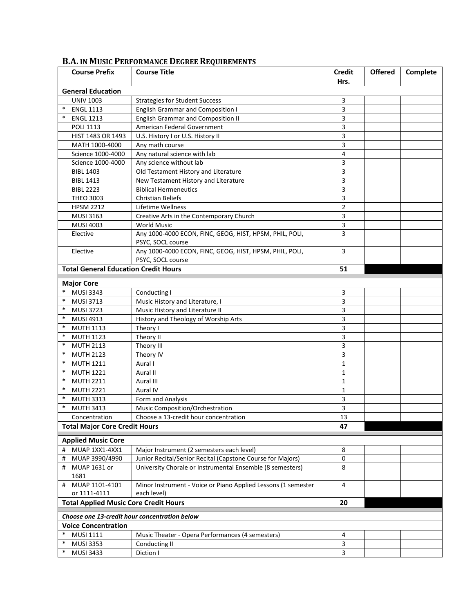| <b>Course Prefix</b>                               | <b>Course Title</b>                                                          | <b>Credit</b>  | <b>Offered</b> | Complete |  |  |  |  |
|----------------------------------------------------|------------------------------------------------------------------------------|----------------|----------------|----------|--|--|--|--|
| Hrs.                                               |                                                                              |                |                |          |  |  |  |  |
| <b>General Education</b>                           |                                                                              |                |                |          |  |  |  |  |
| <b>UNIV 1003</b>                                   | <b>Strategies for Student Success</b>                                        | 3              |                |          |  |  |  |  |
| $\ast$<br><b>ENGL 1113</b>                         | <b>English Grammar and Composition I</b>                                     | 3              |                |          |  |  |  |  |
| <b>ENGL 1213</b>                                   | <b>English Grammar and Composition II</b>                                    | 3              |                |          |  |  |  |  |
| POLI 1113                                          | American Federal Government                                                  | 3              |                |          |  |  |  |  |
| HIST 1483 OR 1493                                  | U.S. History I or U.S. History II                                            | 3              |                |          |  |  |  |  |
| MATH 1000-4000                                     | Any math course                                                              | 3              |                |          |  |  |  |  |
| Science 1000-4000                                  | Any natural science with lab                                                 | 4              |                |          |  |  |  |  |
| Science 1000-4000                                  | Any science without lab                                                      | 3              |                |          |  |  |  |  |
| <b>BIBL 1403</b>                                   | Old Testament History and Literature                                         | 3              |                |          |  |  |  |  |
| <b>BIBL 1413</b>                                   | New Testament History and Literature                                         | 3              |                |          |  |  |  |  |
| <b>BIBL 2223</b>                                   | <b>Biblical Hermeneutics</b>                                                 | 3              |                |          |  |  |  |  |
| <b>THEO 3003</b>                                   | <b>Christian Beliefs</b>                                                     | 3              |                |          |  |  |  |  |
| <b>HPSM 2212</b>                                   | Lifetime Wellness                                                            | $\overline{2}$ |                |          |  |  |  |  |
| <b>MUSI 3163</b>                                   | Creative Arts in the Contemporary Church                                     | 3              |                |          |  |  |  |  |
| <b>MUSI 4003</b>                                   | <b>World Music</b>                                                           | 3              |                |          |  |  |  |  |
| Elective                                           | Any 1000-4000 ECON, FINC, GEOG, HIST, HPSM, PHIL, POLI,<br>PSYC, SOCL course | 3              |                |          |  |  |  |  |
| Elective                                           | Any 1000-4000 ECON, FINC, GEOG, HIST, HPSM, PHIL, POLI,<br>PSYC, SOCL course | 3              |                |          |  |  |  |  |
| <b>Total General Education Credit Hours</b>        |                                                                              | 51             |                |          |  |  |  |  |
|                                                    |                                                                              |                |                |          |  |  |  |  |
| <b>Major Core</b>                                  |                                                                              |                |                |          |  |  |  |  |
| *<br><b>MUSI 3343</b>                              | Conducting I                                                                 | 3              |                |          |  |  |  |  |
| *<br><b>MUSI 3713</b>                              | Music History and Literature, I                                              | 3              |                |          |  |  |  |  |
| $\ast$<br><b>MUSI 3723</b>                         | Music History and Literature II                                              | 3              |                |          |  |  |  |  |
| $\ast$<br>MUSI 4913                                | History and Theology of Worship Arts                                         | 3              |                |          |  |  |  |  |
| *<br><b>MUTH 1113</b>                              | Theory I                                                                     | 3              |                |          |  |  |  |  |
| $\ast$<br><b>MUTH 1123</b>                         | Theory II                                                                    | 3              |                |          |  |  |  |  |
| $\ast$<br><b>MUTH 2113</b>                         | Theory III                                                                   | 3              |                |          |  |  |  |  |
| *<br><b>MUTH 2123</b>                              | Theory IV                                                                    | 3              |                |          |  |  |  |  |
| $\ast$<br><b>MUTH 1211</b>                         | Aural I                                                                      | $\mathbf{1}$   |                |          |  |  |  |  |
| $\ast$<br><b>MUTH 1221</b>                         | Aural II                                                                     | $\mathbf 1$    |                |          |  |  |  |  |
| $\ast$<br><b>MUTH 2211</b>                         | Aural III                                                                    | $\mathbf 1$    |                |          |  |  |  |  |
| $\ast$<br><b>MUTH 2221</b>                         | Aural IV                                                                     | $\mathbf{1}$   |                |          |  |  |  |  |
| *<br><b>MUTH 3313</b>                              | Form and Analysis                                                            | 3              |                |          |  |  |  |  |
| *<br><b>MUTH 3413</b>                              | Music Composition/Orchestration                                              | 3              |                |          |  |  |  |  |
| Concentration                                      | Choose a 13-credit hour concentration                                        | 13             |                |          |  |  |  |  |
| <b>Total Major Core Credit Hours</b>               |                                                                              | 47             |                |          |  |  |  |  |
|                                                    |                                                                              |                |                |          |  |  |  |  |
| <b>Applied Music Core</b>                          |                                                                              |                |                |          |  |  |  |  |
| MUAP 1XX1-4XX1<br>#                                | Major Instrument (2 semesters each level)                                    | 8              |                |          |  |  |  |  |
| MUAP 3990/4990<br>#                                | Junior Recital/Senior Recital (Capstone Course for Majors)                   | 0              |                |          |  |  |  |  |
| MUAP 1631 or<br>#<br>1681                          | University Chorale or Instrumental Ensemble (8 semesters)                    | 8              |                |          |  |  |  |  |
| MUAP 1101-4101<br>#                                | Minor Instrument - Voice or Piano Applied Lessons (1 semester                | 4              |                |          |  |  |  |  |
| or 1111-4111                                       | each level)                                                                  |                |                |          |  |  |  |  |
| <b>Total Applied Music Core Credit Hours</b><br>20 |                                                                              |                |                |          |  |  |  |  |
| Choose one 13-credit hour concentration below      |                                                                              |                |                |          |  |  |  |  |
| <b>Voice Concentration</b>                         |                                                                              |                |                |          |  |  |  |  |
| *<br>MUSI 1111                                     | Music Theater - Opera Performances (4 semesters)                             | 4              |                |          |  |  |  |  |
| $\ast$<br><b>MUSI 3353</b>                         | Conducting II                                                                | 3              |                |          |  |  |  |  |
| $\ast$<br><b>MUSI 3433</b>                         | Diction I                                                                    | 3              |                |          |  |  |  |  |

## **B.A. IN MUSIC PERFORMANCE DEGREE REQUIREMENTS**